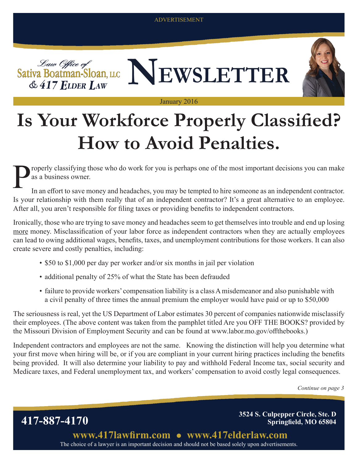ADVERTISEMENT



#### January 2016

## **Is Your Workforce Properly Classified? How to Avoid Penalties.**

roperly classifying those who do work for you is perhaps one of the most important decisions you can make as a business owner.

In an effort to save money and headaches, you may be tempted to hire someone as an independent contractor. Is your relationship with them really that of an independent contractor? It's a great alternative to an employee. After all, you aren't responsible for filing taxes or providing benefits to independent contractors.

Ironically, those who are trying to save money and headaches seem to get themselves into trouble and end up losing more money. Misclassification of your labor force as independent contractors when they are actually employees can lead to owing additional wages, benefits, taxes, and unemployment contributions for those workers. It can also create severe and costly penalties, including:

- \$50 to \$1,000 per day per worker and/or six months in jail per violation
- additional penalty of 25% of what the State has been defrauded
- failure to provide workers' compensation liability is a class A misdemeanor and also punishable with a civil penalty of three times the annual premium the employer would have paid or up to \$50,000

The seriousness is real, yet the US Department of Labor estimates 30 percent of companies nationwide misclassify their employees. (The above content was taken from the pamphlet titled Are you OFF THE BOOKS? provided by the Missouri Division of Employment Security and can be found at www.labor.mo.gov/offthebooks.)

Independent contractors and employees are not the same. Knowing the distinction will help you determine what your first move when hiring will be, or if you are compliant in your current hiring practices including the benefits being provided. It will also determine your liability to pay and withhold Federal Income tax, social security and Medicare taxes, and Federal unemployment tax, and workers' compensation to avoid costly legal consequences.

*Continue on page 3*

**417-887-4170 3524 S. Culpepper Circle, Ste. D Springfield, MO 65804**

> The choice of a lawyer is an important decision and should not be based solely upon advertisements. **www.417lawfirm.com www.417elderlaw.com**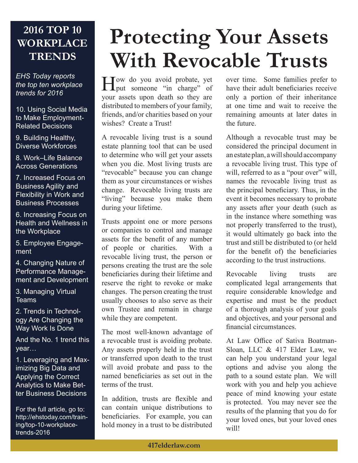### **2016 TOP 10 WORKPLACE TRENDS**

*EHS Today reports the top ten workplace trends for 2016*

10. Using Social Media to Make Employment-Related Decisions

9. Building Healthy, Diverse Workforces

8. Work–Life Balance Across Generations

7. Increased Focus on Business Agility and Flexibility in Work and Business Processes

6. Increasing Focus on Health and Wellness in the Workplace

5. Employee Engagement

4. Changing Nature of Performance Management and Development

3. Managing Virtual **Teams** 

2. Trends in Technology Are Changing the Way Work Is Done

And the No. 1 trend this year…

1. Leveraging and Maximizing Big Data and Applying the Correct Analytics to Make Better Business Decisions

For the full article, go to: http://ehstoday.com/training/top-10-workplacetrends-2016

# **Protecting Your Assets With Revocable Trusts**

How do you avoid probate, yet put someone "in charge" of your assets upon death so they are distributed to members of your family, friends, and/or charities based on your wishes? Create a Trust!

A revocable living trust is a sound estate planning tool that can be used to determine who will get your assets when you die. Most living trusts are "revocable" because you can change them as your circumstances or wishes change. Revocable living trusts are "living" because you make them during your lifetime.

Trusts appoint one or more persons or companies to control and manage assets for the benefit of any number of people or charities. With a revocable living trust, the person or persons creating the trust are the sole beneficiaries during their lifetime and reserve the right to revoke or make changes. The person creating the trust usually chooses to also serve as their own Trustee and remain in charge while they are competent.

The most well-known advantage of a revocable trust is avoiding probate. Any assets properly held in the trust or transferred upon death to the trust will avoid probate and pass to the named beneficiaries as set out in the terms of the trust.

In addition, trusts are flexible and can contain unique distributions to beneficiaries. For example, you can hold money in a trust to be distributed

over time. Some families prefer to have their adult beneficiaries receive only a portion of their inheritance at one time and wait to receive the remaining amounts at later dates in the future.

Although a revocable trust may be considered the principal document in an estate plan, a will should accompany a revocable living trust. This type of will, referred to as a "pour over" will, names the revocable living trust as the principal beneficiary. Thus, in the event it becomes necessary to probate any assets after your death (such as in the instance where something was not properly transferred to the trust), it would ultimately go back into the trust and still be distributed to (or held for the benefit of) the beneficiaries according to the trust instructions.

Revocable living trusts are complicated legal arrangements that require considerable knowledge and expertise and must be the product of a thorough analysis of your goals and objectives, and your personal and financial circumstances.

At Law Office of Sativa Boatman-Sloan, LLC & 417 Elder Law, we can help you understand your legal options and advise you along the path to a sound estate plan. We will work with you and help you achieve peace of mind knowing your estate is protected. You may never see the results of the planning that you do for your loved ones, but your loved ones will!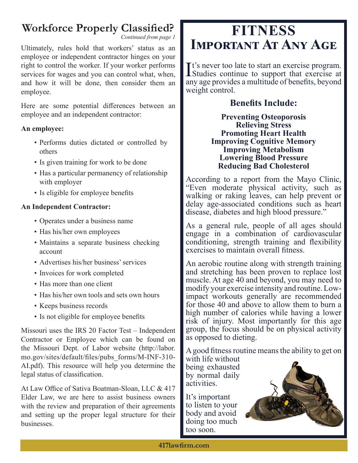### **Workforce Properly Classified?**

*Continued from page 1*

Ultimately, rules hold that workers' status as an employee or independent contractor hinges on your right to control the worker. If your worker performs services for wages and you can control what, when, and how it will be done, then consider them an employee.

Here are some potential differences between an employee and an independent contractor:

#### **An employee:**

- Performs duties dictated or controlled by others
- Is given training for work to be done
- Has a particular permanency of relationship with employer
- Is eligible for employee benefits

#### **An Independent Contractor:**

- Operates under a business name
- Has his/her own employees
- Maintains a separate business checking account
- Advertises his/her business' services
- Invoices for work completed
- Has more than one client
- Has his/her own tools and sets own hours
- Keeps business records
- Is not eligible for employee benefits

Missouri uses the IRS 20 Factor Test – Independent Contractor or Employee which can be found on the Missouri Dept. of Labor website (http://labor. mo.gov/sites/default/files/pubs\_forms/M-INF-310- AI.pdf). This resource will help you determine the legal status of classification.

At Law Office of Sativa Boatman-Sloan, LLC & 417 Elder Law, we are here to assist business owners with the review and preparation of their agreements and setting up the proper legal structure for their businesses.

### **FITNESS Important At Any Age**

It's never too late to start an exercise program.<br>Studies continue to support that exercise at Studies continue to support that exercise at any age provides a multitude of benefits, beyond weight control.

#### **Benefits Include:**

**Preventing Osteoporosis Relieving Stress Promoting Heart Health Improving Cognitive Memory Improving Metabolism Lowering Blood Pressure Reducing Bad Cholesterol**

According to a report from the Mayo Clinic, "Even moderate physical activity, such as walking or raking leaves, can help prevent or delay age-associated conditions such as heart disease, diabetes and high blood pressure."

As a general rule, people of all ages should engage in a combination of cardiovascular conditioning, strength training and flexibility exercises to maintain overall fitness.

An aerobic routine along with strength training and stretching has been proven to replace lost muscle. At age 40 and beyond, you may need to modify your exercise intensity and routine. Lowimpact workouts generally are recommended for those 40 and above to allow them to burn a high number of calories while having a lower risk of injury. Most importantly for this age group, the focus should be on physical activity as opposed to dieting.

A good fitness routine means the ability to get on

with life without being exhausted by normal daily activities.

It's important to listen to your body and avoid doing too much too soon.